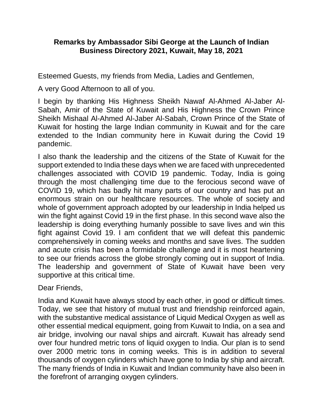## **Remarks by Ambassador Sibi George at the Launch of Indian Business Directory 2021, Kuwait, May 18, 2021**

Esteemed Guests, my friends from Media, Ladies and Gentlemen,

A very Good Afternoon to all of you.

I begin by thanking His Highness Sheikh Nawaf Al-Ahmed Al-Jaber Al-Sabah, Amir of the State of Kuwait and His Highness the Crown Prince Sheikh Mishaal Al-Ahmed Al-Jaber Al-Sabah, Crown Prince of the State of Kuwait for hosting the large Indian community in Kuwait and for the care extended to the Indian community here in Kuwait during the Covid 19 pandemic.

I also thank the leadership and the citizens of the State of Kuwait for the support extended to India these days when we are faced with unprecedented challenges associated with COVID 19 pandemic. Today, India is going through the most challenging time due to the ferocious second wave of COVID 19, which has badly hit many parts of our country and has put an enormous strain on our healthcare resources. The whole of society and whole of government approach adopted by our leadership in India helped us win the fight against Covid 19 in the first phase. In this second wave also the leadership is doing everything humanly possible to save lives and win this fight against Covid 19. I am confident that we will defeat this pandemic comprehensively in coming weeks and months and save lives. The sudden and acute crisis has been a formidable challenge and it is most heartening to see our friends across the globe strongly coming out in support of India. The leadership and government of State of Kuwait have been very supportive at this critical time.

Dear Friends,

India and Kuwait have always stood by each other, in good or difficult times. Today, we see that history of mutual trust and friendship reinforced again, with the substantive medical assistance of Liquid Medical Oxygen as well as other essential medical equipment, going from Kuwait to India, on a sea and air bridge, involving our naval ships and aircraft. Kuwait has already send over four hundred metric tons of liquid oxygen to India. Our plan is to send over 2000 metric tons in coming weeks. This is in addition to several thousands of oxygen cylinders which have gone to India by ship and aircraft. The many friends of India in Kuwait and Indian community have also been in the forefront of arranging oxygen cylinders.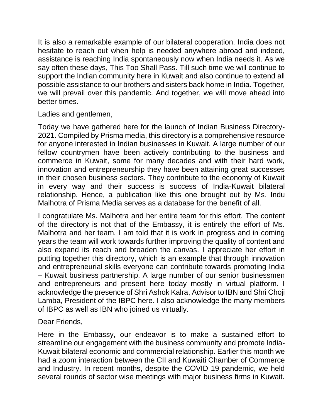It is also a remarkable example of our bilateral cooperation. India does not hesitate to reach out when help is needed anywhere abroad and indeed, assistance is reaching India spontaneously now when India needs it. As we say often these days, This Too Shall Pass. Till such time we will continue to support the Indian community here in Kuwait and also continue to extend all possible assistance to our brothers and sisters back home in India. Together, we will prevail over this pandemic. And together, we will move ahead into better times.

Ladies and gentlemen,

Today we have gathered here for the launch of Indian Business Directory-2021. Compiled by Prisma media, this directory is a comprehensive resource for anyone interested in Indian businesses in Kuwait. A large number of our fellow countrymen have been actively contributing to the business and commerce in Kuwait, some for many decades and with their hard work, innovation and entrepreneurship they have been attaining great successes in their chosen business sectors. They contribute to the economy of Kuwait in every way and their success is success of India-Kuwait bilateral relationship. Hence, a publication like this one brought out by Ms. Indu Malhotra of Prisma Media serves as a database for the benefit of all.

I congratulate Ms. Malhotra and her entire team for this effort. The content of the directory is not that of the Embassy, it is entirely the effort of Ms. Malhotra and her team. I am told that it is work in progress and in coming years the team will work towards further improving the quality of content and also expand its reach and broaden the canvas. I appreciate her effort in putting together this directory, which is an example that through innovation and entrepreneurial skills everyone can contribute towards promoting India – Kuwait business partnership. A large number of our senior businessmen and entrepreneurs and present here today mostly in virtual platform. I acknowledge the presence of Shri Ashok Kalra, Advisor to IBN and Shri Choji Lamba, President of the IBPC here. I also acknowledge the many members of IBPC as well as IBN who joined us virtually.

## Dear Friends,

Here in the Embassy, our endeavor is to make a sustained effort to streamline our engagement with the business community and promote India-Kuwait bilateral economic and commercial relationship. Earlier this month we had a zoom interaction between the CII and Kuwaiti Chamber of Commerce and Industry. In recent months, despite the COVID 19 pandemic, we held several rounds of sector wise meetings with major business firms in Kuwait.